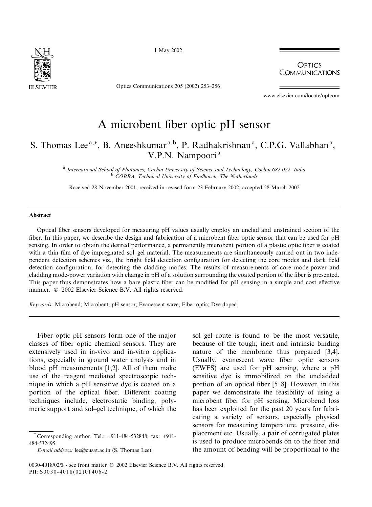

1 May 2002

Optics Communications 205 (2002) 253–256

**OPTICS COMMUNICATIONS** 

www.elsevier.com/locate/optcom

# A microbent fiber optic pH sensor

# S. Thomas Lee<sup>a,\*</sup>, B. Aneeshkumar<sup>a,b</sup>, P. Radhakrishnan<sup>a</sup>, C.P.G. Vallabhan<sup>a</sup>, V.P.N. Nampoori<sup>a</sup>

<sup>a</sup> International School of Photonics, Cochin University of Science and Technology, Cochin 682 022, India <sup>b</sup> COBRA, Technical University of Eindhoven, The Netherlands

Received 28 November 2001; received in revised form 23 February 2002; accepted 28 March 2002

#### Abstract

Optical fiber sensors developed for measuring pH values usually employ an unclad and unstrained section of the fiber. In this paper, we describe the design and fabrication of a microbent fiber optic sensor that can be used for pH sensing. In order to obtain the desired performance, a permanently microbent portion of a plastic optic fiber is coated with a thin film of dye impregnated sol–gel material. The measurements are simultaneously carried out in two independent detection schemes viz., the bright field detection configuration for detecting the core modes and dark field detection configuration, for detecting the cladding modes. The results of measurements of core mode-power and cladding mode-power variation with change in pH of a solution surrounding the coated portion of the fiber is presented. This paper thus demonstrates how a bare plastic fiber can be modified for pH sensing in a simple and cost effective manner.  $\oslash$  2002 Elsevier Science B.V. All rights reserved.

Keywords: Microbend; Microbent; pH sensor; Evanescent wave; Fiber optic; Dye doped

Fiber optic pH sensors form one of the major classes of fiber optic chemical sensors. They are extensively used in in-vivo and in-vitro applications, especially in ground water analysis and in blood pH measurements [1,2]. All of them make use of the reagent mediated spectroscopic technique in which a pH sensitive dye is coated on a portion of the optical fiber. Different coating techniques include, electrostatic binding, polymeric support and sol–gel technique, of which the

sol–gel route is found to be the most versatile, because of the tough, inert and intrinsic binding nature of the membrane thus prepared [3,4]. Usually, evanescent wave fiber optic sensors (EWFS) are used for pH sensing, where a pH sensitive dye is immobilized on the uncladded portion of an optical fiber [5–8]. However, in this paper we demonstrate the feasibility of using a microbent fiber for pH sensing. Microbend loss has been exploited for the past 20 years for fabricating a variety of sensors, especially physical sensors for measuring temperature, pressure, displacement etc. Usually, a pair of corrugated plates is used to produce microbends on to the fiber and the amount of bending will be proportional to the

Corresponding author. Tel.: +911-484-532848; fax: +911-484-532495.

E-mail address: lee@cusat.ac.in (S. Thomas Lee).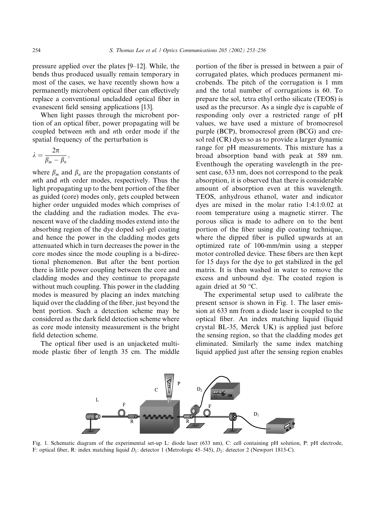pressure applied over the plates [9–12]. While, the bends thus produced usually remain temporary in most of the cases, we have recently shown how a permanently microbent optical fiber can effectively replace a conventional uncladded optical fiber in evanescent field sensing applications [13].

When light passes through the microbent portion of an optical fiber, power propagating will be coupled between mth and nth order mode if the spatial frequency of the perturbation is

$$
\lambda = \frac{2\pi}{\beta_m - \beta_n},
$$

where  $\beta_m$  and  $\beta_n$  are the propagation constants of mth and nth order modes, respectively. Thus the light propagating up to the bent portion of the fiber as guided (core) modes only, gets coupled between higher order unguided modes which comprises of the cladding and the radiation modes. The evanescent wave of the cladding modes extend into the absorbing region of the dye doped sol–gel coating and hence the power in the cladding modes gets attenuated which in turn decreases the power in the core modes since the mode coupling is a bi-directional phenomenon. But after the bent portion there is little power coupling between the core and cladding modes and they continue to propagate without much coupling. This power in the cladding modes is measured by placing an index matching liquid over the cladding of the fiber, just beyond the bent portion. Such a detection scheme may be considered as the dark field detection scheme where as core mode intensity measurement is the bright field detection scheme.

The optical fiber used is an unjacketed multimode plastic fiber of length 35 cm. The middle portion of the fiber is pressed in between a pair of corrugated plates, which produces permanent microbends. The pitch of the corrugation is 1 mm and the total number of corrugations is 60. To prepare the sol, tetra ethyl ortho silicate (TEOS) is used as the precursor. As a single dye is capable of responding only over a restricted range of pH values, we have used a mixture of bromocresol purple (BCP), bromocresol green (BCG) and cresol red (CR) dyes so as to provide a larger dynamic range for pH measurements. This mixture has a broad absorption band with peak at 589 nm. Eventhough the operating wavelength in the present case, 633 nm, does not correspond to the peak absorption, it is observed that there is considerable amount of absorption even at this wavelength. TEOS, anhydrous ethanol, water and indicator dyes are mixed in the molar ratio 1:4:1:0.02 at room temperature using a magnetic stirrer. The porous silica is made to adhere on to the bent portion of the fiber using dip coating technique, where the dipped fiber is pulled upwards at an optimized rate of 100-mm/min using a stepper motor controlled device. These fibers are then kept for 15 days for the dye to get stabilized in the gel matrix. It is then washed in water to remove the excess and unbound dye. The coated region is again dried at 50  $^{\circ}$ C.

The experimental setup used to calibrate the present sensor is shown in Fig. 1. The laser emission at 633 nm from a diode laser is coupled to the optical fiber. An index matching liquid (liquid crystal BL-35, Merck UK) is applied just before the sensing region, so that the cladding modes get eliminated. Similarly the same index matching liquid applied just after the sensing region enables



Fig. 1. Schematic diagram of the experimental set-up L: diode laser (633 nm), C: cell containing pH solution, P: pH electrode, F: optical fiber, R: index matching liquid  $D_1$ : detector 1 (Metrologic 45–545),  $D_2$ : detector 2 (Newport 1815-C).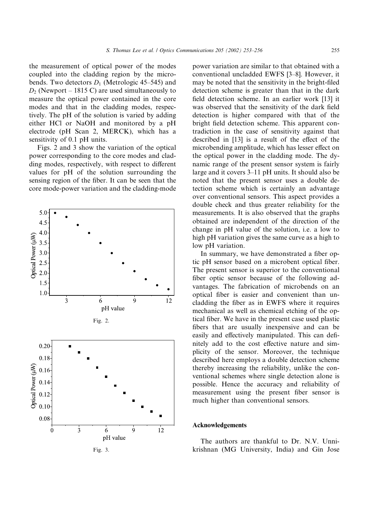the measurement of optical power of the modes coupled into the cladding region by the microbends. Two detectors  $D_1$  (Metrologic 45–545) and  $D_2$  (Newport – 1815 C) are used simultaneously to measure the optical power contained in the core modes and that in the cladding modes, respectively. The pH of the solution is varied by adding either HCl or NaOH and monitored by a pH electrode (pH Scan 2, MERCK), which has a sensitivity of 0.1 pH units.

Figs. 2 and 3 show the variation of the optical power corresponding to the core modes and cladding modes, respectively, with respect to different values for pH of the solution surrounding the sensing region of the fiber. It can be seen that the core mode-power variation and the cladding-mode



Fig. 3.

power variation are similar to that obtained with a conventional uncladded EWFS [3–8]. However, it may be noted that the sensitivity in the bright-filed detection scheme is greater than that in the dark field detection scheme. In an earlier work [13] it was observed that the sensitivity of the dark field detection is higher compared with that of the bright field detection scheme. This apparent contradiction in the case of sensitivity against that described in [13] is a result of the effect of the microbending amplitude, which has lesser effect on the optical power in the cladding mode. The dynamic range of the present sensor system is fairly large and it covers 3–11 pH units. It should also be noted that the present sensor uses a double detection scheme which is certainly an advantage over conventional sensors. This aspect provides a double check and thus greater reliability for the measurements. It is also observed that the graphs obtained are independent of the direction of the change in pH value of the solution, i.e. a low to high pH variation gives the same curve as a high to low pH variation.

In summary, we have demonstrated a fiber optic pH sensor based on a microbent optical fiber. The present sensor is superior to the conventional fiber optic sensor because of the following advantages. The fabrication of microbends on an optical fiber is easier and convenient than uncladding the fiber as in EWFS where it requires mechanical as well as chemical etching of the optical fiber. We have in the present case used plastic fibers that are usually inexpensive and can be easily and effectively manipulated. This can definitely add to the cost effective nature and simplicity of the sensor. Moreover, the technique described here employs a double detection scheme thereby increasing the reliability, unlike the conventional schemes where single detection alone is possible. Hence the accuracy and reliability of measurement using the present fiber sensor is much higher than conventional sensors.

## Acknowledgements

The authors are thankful to Dr. N.V. Unnikrishnan (MG University, India) and Gin Jose